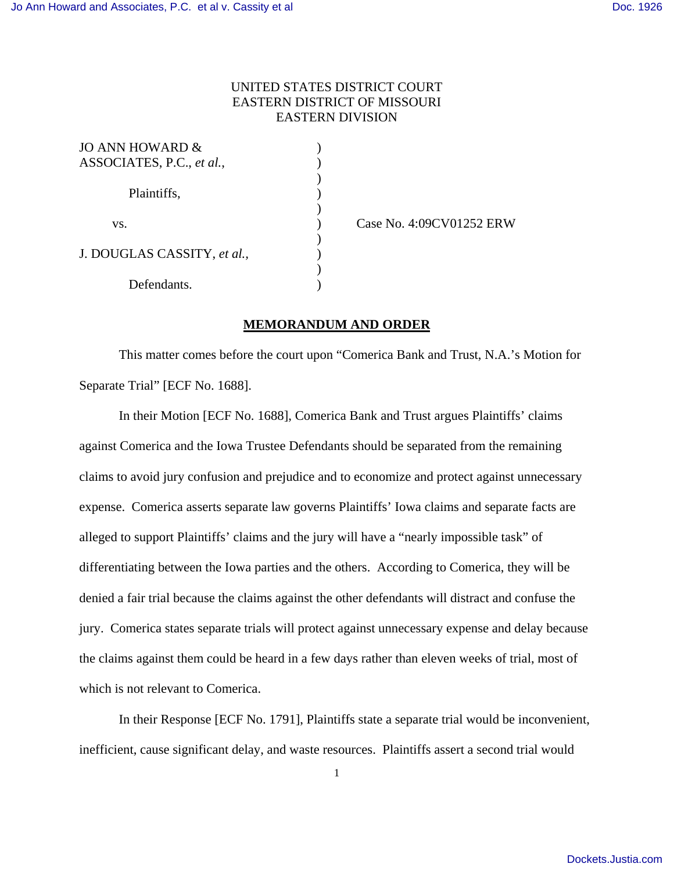## UNITED STATES DISTRICT COURT EASTERN DISTRICT OF MISSOURI EASTERN DIVISION

| JO ANN HOWARD &             |  |
|-----------------------------|--|
| ASSOCIATES, P.C., et al.,   |  |
|                             |  |
| Plaintiffs,                 |  |
|                             |  |
| VS.                         |  |
| J. DOUGLAS CASSITY, et al., |  |
|                             |  |
|                             |  |
| Defendants.                 |  |

) Case No. 4:09CV01252 ERW

## **MEMORANDUM AND ORDER**

 This matter comes before the court upon "Comerica Bank and Trust, N.A.'s Motion for Separate Trial" [ECF No. 1688].

In their Motion [ECF No. 1688], Comerica Bank and Trust argues Plaintiffs' claims against Comerica and the Iowa Trustee Defendants should be separated from the remaining claims to avoid jury confusion and prejudice and to economize and protect against unnecessary expense. Comerica asserts separate law governs Plaintiffs' Iowa claims and separate facts are alleged to support Plaintiffs' claims and the jury will have a "nearly impossible task" of differentiating between the Iowa parties and the others. According to Comerica, they will be denied a fair trial because the claims against the other defendants will distract and confuse the jury. Comerica states separate trials will protect against unnecessary expense and delay because the claims against them could be heard in a few days rather than eleven weeks of trial, most of which is not relevant to Comerica.

 In their Response [ECF No. 1791], Plaintiffs state a separate trial would be inconvenient, inefficient, cause significant delay, and waste resources. Plaintiffs assert a second trial would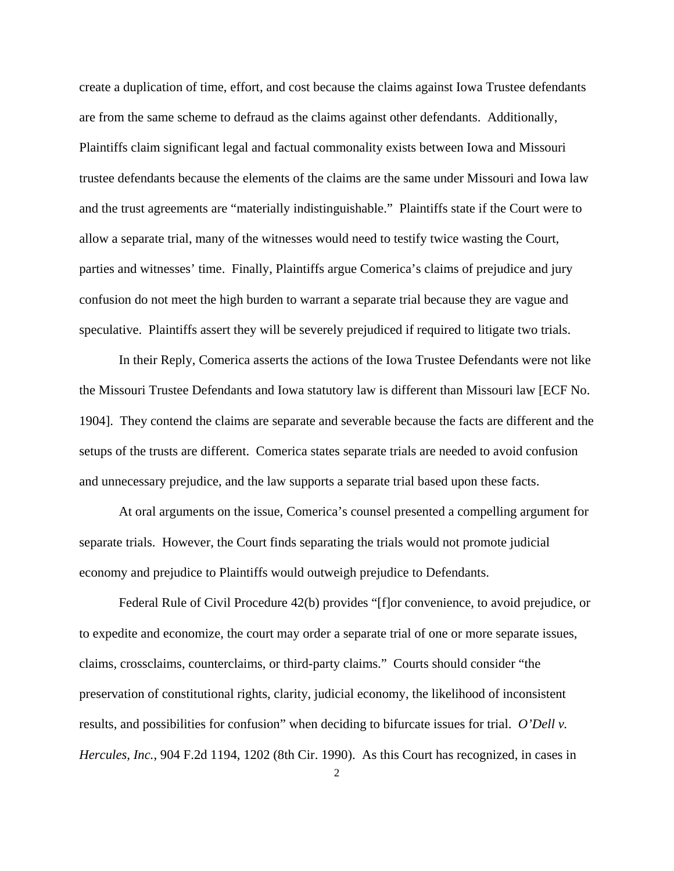create a duplication of time, effort, and cost because the claims against Iowa Trustee defendants are from the same scheme to defraud as the claims against other defendants. Additionally, Plaintiffs claim significant legal and factual commonality exists between Iowa and Missouri trustee defendants because the elements of the claims are the same under Missouri and Iowa law and the trust agreements are "materially indistinguishable." Plaintiffs state if the Court were to allow a separate trial, many of the witnesses would need to testify twice wasting the Court, parties and witnesses' time. Finally, Plaintiffs argue Comerica's claims of prejudice and jury confusion do not meet the high burden to warrant a separate trial because they are vague and speculative. Plaintiffs assert they will be severely prejudiced if required to litigate two trials.

In their Reply, Comerica asserts the actions of the Iowa Trustee Defendants were not like the Missouri Trustee Defendants and Iowa statutory law is different than Missouri law [ECF No. 1904]. They contend the claims are separate and severable because the facts are different and the setups of the trusts are different. Comerica states separate trials are needed to avoid confusion and unnecessary prejudice, and the law supports a separate trial based upon these facts.

At oral arguments on the issue, Comerica's counsel presented a compelling argument for separate trials. However, the Court finds separating the trials would not promote judicial economy and prejudice to Plaintiffs would outweigh prejudice to Defendants.

Federal Rule of Civil Procedure 42(b) provides "[f]or convenience, to avoid prejudice, or to expedite and economize, the court may order a separate trial of one or more separate issues, claims, crossclaims, counterclaims, or third-party claims." Courts should consider "the preservation of constitutional rights, clarity, judicial economy, the likelihood of inconsistent results, and possibilities for confusion" when deciding to bifurcate issues for trial. *O'Dell v. Hercules, Inc.*, 904 F.2d 1194, 1202 (8th Cir. 1990). As this Court has recognized, in cases in